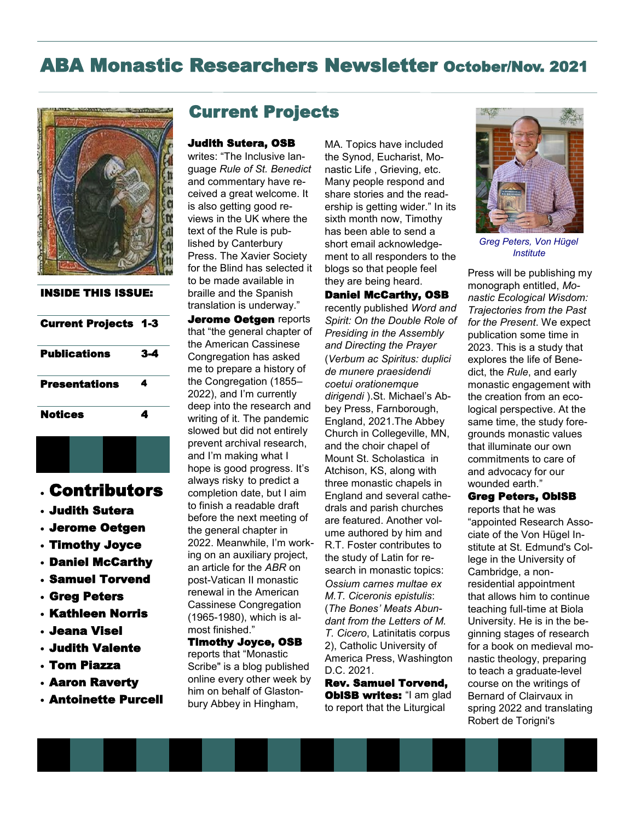# ABA Monastic Researchers Newsletter October/Nov. 2021



INSIDE THIS ISSUE:

| <b>Current Projects 1-3</b> |     |
|-----------------------------|-----|
| <b>Publications</b>         | 3-4 |
| Presentations               | 4   |
| <b>Notices</b>              | 4   |

## • Contributors

- Judith Sutera
- Jerome Oetgen
- Timothy Joyce
- Daniel McCarthy
- Samuel Torvend
- Greg Peters
- Kathleen Norris
- Jeana Visel
- Judith Valente
- Tom Piazza
- Aaron Raverty
- Antoinette Purcell

## Current Projects

#### Judith Sutera, OSB

writes: "The Inclusive language *Rule of St. Benedict*  and commentary have received a great welcome. It is also getting good reviews in the UK where the text of the Rule is published by Canterbury Press. The Xavier Society for the Blind has selected it to be made available in braille and the Spanish translation is underway." Jerome Oetgen reports that "the general chapter of the American Cassinese Congregation has asked me to prepare a history of the Congregation (1855– 2022), and I'm currently deep into the research and writing of it. The pandemic slowed but did not entirely prevent archival research, and I'm making what I hope is good progress. It's always risky to predict a completion date, but I aim to finish a readable draft before the next meeting of the general chapter in 2022. Meanwhile, I'm working on an auxiliary project, an article for the *ABR* on post-Vatican II monastic renewal in the American Cassinese Congregation (1965-1980), which is almost finished."

Timothy Joyce, OSB reports that "Monastic Scribe" is a blog published online every other week by him on behalf of Glastonbury Abbey in Hingham,

MA. Topics have included the Synod, Eucharist, Monastic Life , Grieving, etc. Many people respond and share stories and the readership is getting wider." In its sixth month now, Timothy has been able to send a short email acknowledgement to all responders to the blogs so that people feel they are being heard.

#### Daniel McCarthy, OSB

recently published *Word and Spirit: On the Double Role of Presiding in the Assembly and Directing the Prayer* (*Verbum ac Spiritus: duplici de munere praesidendi coetui orationemque dirigendi* ).St. Michael's Abbey Press, Farnborough, England, 2021.The Abbey Church in Collegeville, MN, and the choir chapel of Mount St. Scholastica in Atchison, KS, along with three monastic chapels in England and several cathedrals and parish churches are featured. Another volume authored by him and R.T. Foster contributes to the study of Latin for research in monastic topics: *Ossium carnes multae ex M.T. Ciceronis epistulis*: (*The Bones' Meats Abundant from the Letters of M. T. Cicero*, Latinitatis corpus 2), Catholic University of America Press, Washington D.C. 2021.

Rev. Samuel Torvend, **OblSB writes: "I am glad** to report that the Liturgical



*Greg Peters, Von Hügel Institute*

Press will be publishing my monograph entitled, *Monastic Ecological Wisdom: Trajectories from the Past for the Present*. We expect publication some time in 2023. This is a study that explores the life of Benedict, the *Rule*, and early monastic engagement with the creation from an ecological perspective. At the same time, the study foregrounds monastic values that illuminate our own commitments to care of and advocacy for our wounded earth."

### Greg Peters, OblSB

reports that he was "appointed Research Associate of the Von Hügel Institute at St. Edmund's College in the University of Cambridge, a nonresidential appointment that allows him to continue teaching full-time at Biola University. He is in the beginning stages of research for a book on medieval monastic theology, preparing to teach a graduate-level course on the writings of Bernard of Clairvaux in spring 2022 and translating Robert de Torigni's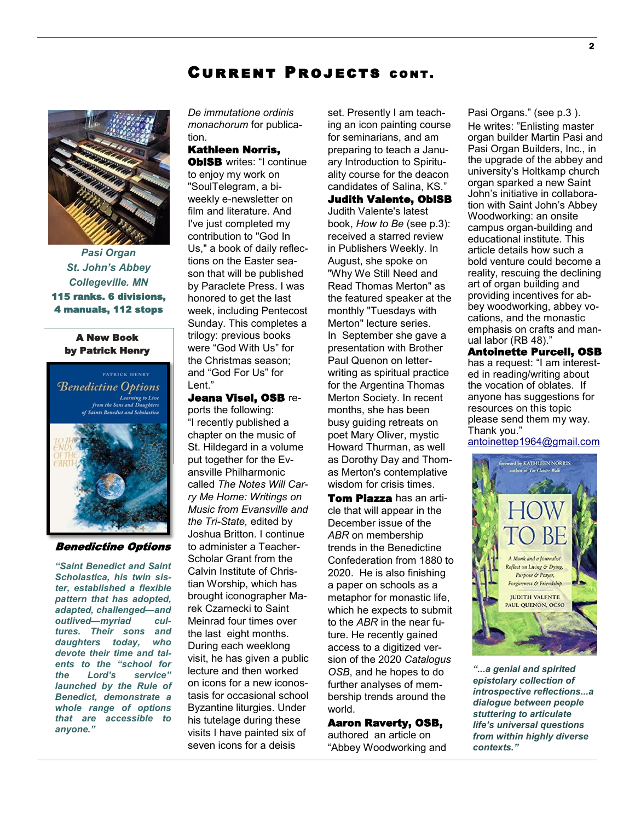### Current Projects cont.



*Pasi Organ St. John's Abbey Collegeville. MN* 115 ranks. 6 divisions, 4 manuals, 112 stops

#### A New Book by Patrick Henry

**Benedictine Options** Learning to Live<br>from the Sons and Daughters of Saints Benedict and Scholastica



#### Benedictine Options

*"Saint Benedict and Saint Scholastica, his twin sister, established a flexible pattern that has adopted, adapted, challenged—and outlived—myriad cultures. Their sons and daughters today, who devote their time and talents to the "school for the Lord's service" launched by the Rule of Benedict, demonstrate a whole range of options that are accessible to anyone."*

*De immutatione ordinis monachorum* for publication.

### Kathleen Norris,

**OblSB** writes: "I continue to enjoy my work on "SoulTelegram, a biweekly e-newsletter on film and literature. And I've just completed my contribution to "God In Us," a book of daily reflections on the Easter season that will be published by Paraclete Press. I was honored to get the last week, including Pentecost Sunday. This completes a trilogy: previous books were "God With Us" for the Christmas season; and "God For Us" for Lent."

Jeana Visel, OSB reports the following: "I recently published a chapter on the music of St. Hildegard in a volume put together for the Evansville Philharmonic called *The Notes Will Carry Me Home: Writings on Music from Evansville and the Tri-State,* edited by Joshua Britton. I continue to administer a Teacher-Scholar Grant from the Calvin Institute of Christian Worship, which has brought iconographer Marek Czarnecki to Saint Meinrad four times over the last eight months. During each weeklong visit, he has given a public lecture and then worked on icons for a new iconostasis for occasional school Byzantine liturgies. Under his tutelage during these visits I have painted six of seven icons for a deisis

set. Presently I am teaching an icon painting course for seminarians, and am preparing to teach a January Introduction to Spirituality course for the deacon candidates of Salina, KS." Judith Valente, OblSB Judith Valente's latest book, *How to Be* (see p.3): received a starred review in Publishers Weekly. In August, she spoke on "Why We Still Need and Read Thomas Merton" as the featured speaker at the monthly "Tuesdays with Merton" lecture series. In September she gave a presentation with Brother

Paul Quenon on letterwriting as spiritual practice for the Argentina Thomas Merton Society. In recent months, she has been busy guiding retreats on poet Mary Oliver, mystic Howard Thurman, as well as Dorothy Day and Thomas Merton's contemplative wisdom for crisis times.

Tom Piazza has an article that will appear in the December issue of the *ABR* on membership trends in the Benedictine Confederation from 1880 to 2020. He is also finishing a paper on schools as a metaphor for monastic life, which he expects to submit to the *ABR* in the near future. He recently gained access to a digitized version of the 2020 *Catalogus OSB*, and he hopes to do further analyses of membership trends around the world.

#### Aaron Raverty, OSB,

authored an article on "Abbey Woodworking and Pasi Organs." (see p.3 ). He writes: "Enlisting master organ builder Martin Pasi and Pasi Organ Builders, Inc., in the upgrade of the abbey and university's Holtkamp church organ sparked a new Saint John's initiative in collaboration with Saint John's Abbey Woodworking: an onsite campus organ-building and educational institute. This article details how such a bold venture could become a reality, rescuing the declining art of organ building and providing incentives for abbey woodworking, abbey vocations, and the monastic emphasis on crafts and manual labor (RB 48)."

Antoinette Purcell, OSB has a request: "I am interested in reading/writing about the vocation of oblates. If anyone has suggestions for resources on this topic please send them my way. Thank you."

[antoinettep1964@gmail.com](mailto:antoinettep1964@gmail.com)



*"...a genial and spirited epistolary collection of introspective reflections...a dialogue between people stuttering to articulate life's universal questions from within highly diverse contexts."*